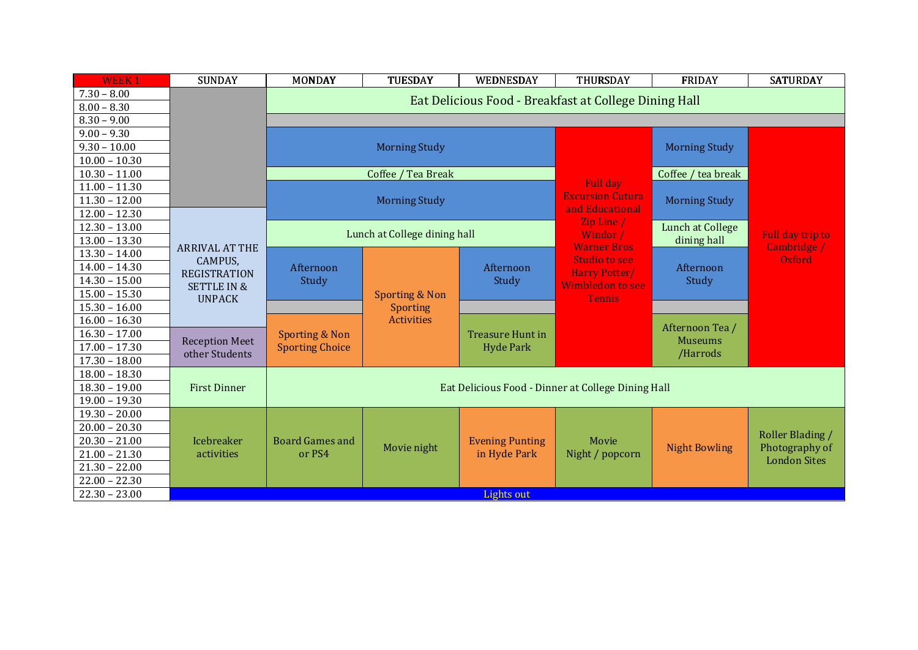| <b>WEEK1</b>    | <b>SUNDAY</b>                                                             | <b>MONDAY</b>                                         | TUESDAY              | WEDNESDAY               | THURSDAY                                     | <b>FRIDAY</b>                     | <b>SATURDAY</b>                 |  |  |  |
|-----------------|---------------------------------------------------------------------------|-------------------------------------------------------|----------------------|-------------------------|----------------------------------------------|-----------------------------------|---------------------------------|--|--|--|
| $7.30 - 8.00$   |                                                                           |                                                       |                      |                         |                                              |                                   |                                 |  |  |  |
| $8.00 - 8.30$   |                                                                           | Eat Delicious Food - Breakfast at College Dining Hall |                      |                         |                                              |                                   |                                 |  |  |  |
| $8.30 - 9.00$   |                                                                           |                                                       |                      |                         |                                              |                                   |                                 |  |  |  |
| $9.00 - 9.30$   |                                                                           |                                                       |                      |                         |                                              |                                   |                                 |  |  |  |
| $9.30 - 10.00$  |                                                                           |                                                       | <b>Morning Study</b> |                         |                                              | <b>Morning Study</b>              |                                 |  |  |  |
| $10.00 - 10.30$ |                                                                           |                                                       |                      |                         |                                              |                                   |                                 |  |  |  |
| $10.30 - 11.00$ |                                                                           | Coffee / Tea Break                                    |                      |                         |                                              | Coffee / tea break                |                                 |  |  |  |
| $11.00 - 11.30$ |                                                                           |                                                       |                      |                         | Full day                                     |                                   |                                 |  |  |  |
| $11.30 - 12.00$ |                                                                           | <b>Morning Study</b>                                  |                      |                         | <b>Excursion Cutura</b><br>and Educational   | <b>Morning Study</b>              |                                 |  |  |  |
| $12.00 - 12.30$ |                                                                           |                                                       |                      |                         |                                              |                                   |                                 |  |  |  |
| $12.30 - 13.00$ |                                                                           | Lunch at College dining hall                          |                      |                         | Zip Line /<br>Windor /<br><b>Warner Bros</b> | Lunch at College                  | Full day trip to<br>Cambridge / |  |  |  |
| $13.00 - 13.30$ | <b>ARRIVAL AT THE</b><br>CAMPUS,                                          |                                                       |                      |                         |                                              | dining hall                       |                                 |  |  |  |
| $13.30 - 14.00$ |                                                                           | Afternoon                                             |                      | Afternoon               | <b>Studio to see</b><br>Harry Potter/        | Afternoon                         | Oxford                          |  |  |  |
| $14.00 - 14.30$ | <b>REGISTRATION</b>                                                       |                                                       |                      |                         |                                              |                                   |                                 |  |  |  |
| $14.30 - 15.00$ | <b>SETTLE IN &amp;</b>                                                    | Study                                                 |                      | Study                   | Wimbledon to see                             | Study                             |                                 |  |  |  |
| $15.00 - 15.30$ | <b>UNPACK</b>                                                             |                                                       | Sporting & Non       |                         | <b>Tennis</b>                                |                                   |                                 |  |  |  |
| $15.30 - 16.00$ |                                                                           |                                                       | <b>Sporting</b>      |                         |                                              |                                   |                                 |  |  |  |
| $16.00 - 16.30$ |                                                                           | <b>Sporting &amp; Non</b>                             | <b>Activities</b>    | <b>Treasure Hunt in</b> |                                              | Afternoon Tea /<br><b>Museums</b> |                                 |  |  |  |
| $16.30 - 17.00$ | <b>Reception Meet</b>                                                     |                                                       |                      |                         |                                              |                                   |                                 |  |  |  |
| $17.00 - 17.30$ | other Students                                                            | <b>Sporting Choice</b>                                |                      | <b>Hyde Park</b>        |                                              | /Harrods                          |                                 |  |  |  |
| $17.30 - 18.00$ |                                                                           |                                                       |                      |                         |                                              |                                   |                                 |  |  |  |
| $18.00 - 18.30$ |                                                                           |                                                       |                      |                         |                                              |                                   |                                 |  |  |  |
| $18.30 - 19.00$ | <b>First Dinner</b><br>Eat Delicious Food - Dinner at College Dining Hall |                                                       |                      |                         |                                              |                                   |                                 |  |  |  |
| $19.00 - 19.30$ |                                                                           |                                                       |                      |                         |                                              |                                   |                                 |  |  |  |
| $19.30 - 20.00$ |                                                                           |                                                       |                      |                         |                                              |                                   |                                 |  |  |  |
| $20.00 - 20.30$ |                                                                           |                                                       |                      |                         |                                              |                                   | Roller Blading /                |  |  |  |
| $20.30 - 21.00$ | Icebreaker                                                                | <b>Board Games and</b>                                | Movie night          | <b>Evening Punting</b>  | Movie                                        | <b>Night Bowling</b>              | Photography of                  |  |  |  |
| $21.00 - 21.30$ | activities                                                                | or PS4                                                |                      | in Hyde Park            | Night / popcorn                              |                                   | <b>London Sites</b>             |  |  |  |
| $21.30 - 22.00$ |                                                                           |                                                       |                      |                         |                                              |                                   |                                 |  |  |  |
| $22.00 - 22.30$ |                                                                           |                                                       |                      |                         |                                              |                                   |                                 |  |  |  |
| $22.30 - 23.00$ |                                                                           |                                                       |                      | Lights out              |                                              |                                   |                                 |  |  |  |